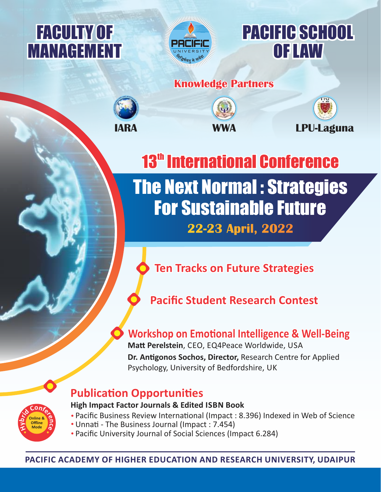



# PACIFIC SCHOOL OF LAW

# **Knowledge Partners**



**R S**

**<sup>N</sup><sup>S</sup> <sup>A</sup>N<sup>D</sup> <sup>R</sup>ESEA<sup>R</sup> A**

**DA**

**<sup>N</sup><sup>I</sup>**





The Next Normal : Strategies For Sustainable Future **22-23 April, 2022 13<sup>th</sup> International Conference** 

# **Ten Tracks on Future Strategies**

# **Pacific Student Research Contest**

# **Workshop on Emotional Intelligence & Well-Being**

**Matt Perelstein, CEO, EQ4Peace Worldwide, USA Dr. Antigonos Sochos, Director, Research Centre for Applied** Psychology, University of Bedfordshire, UK

# **Publication Opportunities**

**Online & Offline Mode**

**d**

**i**

**r**

**y**

**H**

**b**

**<sup>C</sup><sup>o</sup>nf<sup>e</sup>**

**r**

**e**

**n**

**c**

**e**

# **High Impact Factor Journals & Edited ISBN Book**

- Pacific Business Review International (Impact : 8.396) Indexed in Web of Science
- Unnati The Business Journal (Impact : 7.454)
- Pacific University Journal of Social Sciences (Impact 6.284)

**PACIFIC ACADEMY OF HIGHER EDUCATION AND RESEARCH UNIVERSITY, UDAIPUR**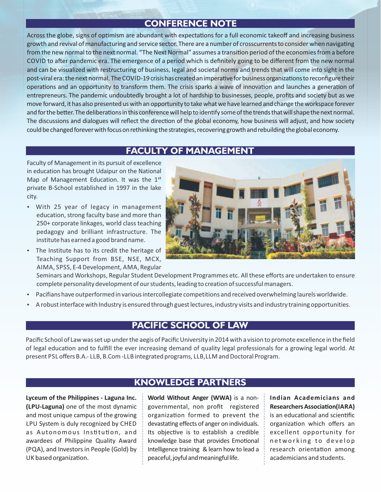# **CONFERENCE NOTE**

Across the globe, signs of optimism are abundant with expectations for a full economic takeoff and increasing business growth and revival of manufacturing and service sector. There are a number of crosscurrents to consider when navigating from the new normal to the next normal. "The Next Normal" assumes a transition period of the economies from a before COVID to after pandemic era. The emergence of a period which is definitely going to be different from the new normal and can be visualized with restructuring of business, legal and societal norms and trends that will come into sight in the post-viral era: the next normal. The COVID-19 crisis has created an imperative for business organizations to reconfigure their operations and an opportunity to transform them. The crisis sparks a wave of innovation and launches a generation of entrepreneurs. The pandemic undoubtedly brought a lot of hardship to businesses, people, profits and society but as we move forward, it has also presented uswith an opportunity to takewhatwe have learned and change theworkspace forever and for the better. The deliberations in this conference will help to identify some of the trends that will shape the next normal. The discussions and dialogues will reflect the direction of the global economy, how business will adjust, and how society could be changed forever with focus on rethinking the strategies, recovering growth and rebuilding the global economy.

## **FACULTY OF MANAGEMENT**

Faculty of Management in its pursuit of excellence in education has brought Udaipur on the National Map of Management Education. It was the 1<sup>st</sup> private B‐School established in 1997 in the lake city.

- With 25 year of legacy in management education, strong faculty base and more than 250+ corporate linkages, world class teaching pedagogy and brilliant infrastructure. The institute has earned a good brand name.
- The Institute has to its credit the heritage of Teaching Support from BSE, NSE, MCX, AIMA, SPSS, E‐4 Development, AMA, Regular



Seminars and Workshops, Regular Student Development Programmes etc. All these efforts are undertaken to ensure complete personality development of our students, leading to creation of successful managers.

- Pacifians have outperformed in various intercollegiate competitions and received overwhelming laurels worldwide.
- A robust interface with Industry is ensured through guest lectures, industry visits and industry training opportunities.

### **PACIFIC SCHOOL OF LAW**

Pacific School of Law was set up under the aegis of Pacific University in 2014 with a vision to promote excellence in the field of legal education and to fulfill the ever increasing demand of quality legal professionals for a growing legal world. At present PSL offers B.A.‐ LLB, B.Com ‐LLB integrated programs, LLB,LLM and Doctoral Program.

**Lyceum of the Philippines ‐ Laguna Inc. (LPU‐Laguna)** one of the most dynamic and most unique campus of the growing LPU System is duly recognized by CHED as Autonomous Institution, and awardees of Philippine Quality Award (PQA), and Investors in People (Gold) by UK based organization.

### **KNOWLEDGE PARTNERS**

**World Without Anger (WWA)** is a non‐ governmental, non profit registered organization formed to prevent the devastating effects of anger on individuals. Its objective is to establish a credible knowledge base that provides Emotional Intelligence training & learn how to lead a peaceful, joyful and meaningful life.

**Indian Academicians and Researchers Association(IARA)** is an educational and scientific organization which offers an excellent opportunity for networking to develop research orientation among academicians and students.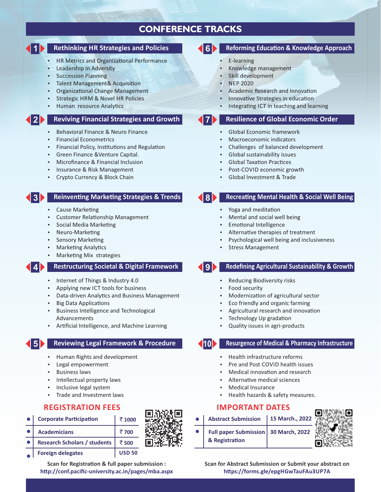# **CONFERENCE TRACKS**

#### **1 Rethinking HR Strategies and Policies**

- HR Metrics and Organizational Performance
- Leadership in Adversity
- Succession Planning
- Talent Management& Acquisition
- Organizational Change Management
- Strategic HRM & Novel HR Policies
- Human resource Analytics

#### **2 Reviving Financial Strategies and Growth**

- Behavioral Finance & Neuro Finance
- Financial Econometrics
- Financial Policy, Institutions and Regulation
- Green Finance &Venture Capital.
- Microfinance & Financial Inclusion
- Insurance & Risk Management
- Crypto Currency & Block Chain

#### **Reinventing Marketing Strategies & Trends**

**Cause Marketing** 

**3**

- Customer Relationship Management
- Social Media Marketing
- Neuro-Marketing
- Sensory Marketing
- **Marketing Analytics**
- Marketing Mix strategies

#### **4 Restructuring Societal & Digital Framework**

- Internet of Things & Industry 4.0
- Applying new ICT tools for business
- Data-driven Analytics and Business Management
- **Big Data Applications**
- Business Intelligence and Technological Advancements
- Arficial Intelligence, and Machine Learning

#### **5 Reviewing Legal Framework & Procedure**

- Human Rights and development
- Legal empowerment
- Business laws
- Intellectual property laws
- Inclusive legal system
- Trade and Investment laws

#### **REGISTRATION FEES**

| <b>Corporate Participation</b>      | ₹1000         |
|-------------------------------------|---------------|
| <b>Academicians</b>                 | ₹700          |
| <b>Research Scholars / students</b> | ₹500          |
| <b>Foreign delegates</b>            | <b>USD 50</b> |

**Scan for Registration & full paper submission :** http://conf.pacific-university.ac.in/pages/mba.aspx

#### **Reforming Education & Knowledge Approach**

- E‐learning
- Knowledge management
- Skill development
- NEP 2020
- Academic Research and Innovation
- Innovative Strategies in education
- Integrating ICT in teaching and learning

#### **Resilience of Global Economic Order**

- Global Economic framework
- Macroeconomic indicators
- Challenges of balanced development
- Global sustainability issues
- Global Taxation Practices
- Post‐COVID economic growth
- Global Investment & Trade

**7**

#### **8 Recreating Mental Health & Social Well Being**

- Yoga and meditation
- Mental and social well being
- Emotional Intelligence
- Alternative therapies of treatment
- Psychological well being and inclusiveness
- Stress Management

### **9 Redefining Agricultural Sustainability & Growth**

- Reducing Biodiversity risks
- Food security
- Modernization of agricultural sector
- Eco friendly and organic farming
- Agricultural research and innovation
- Technology Up gradation
- Quality issues in agri‐products

#### **10 Resurgence of Medical & Pharmacy Infrastructure**

- Health infrastructure reforms
- Pre and Post COVID health issues
- Medical innovation and research
- Alternative medical sciences
- Medical Insurance
- Health hazards & safety measures.

#### **IMPORTANT DATES**

| <b>Abstract Submission</b>                               | 15 March., 2022 |  |
|----------------------------------------------------------|-----------------|--|
| Full paper Submission   30 March, 2022<br>& Registration |                 |  |



**Scan for Abstract Submission or Submit your abstract on hps://forms.gle/epgHGwTauFAu3UP7A**